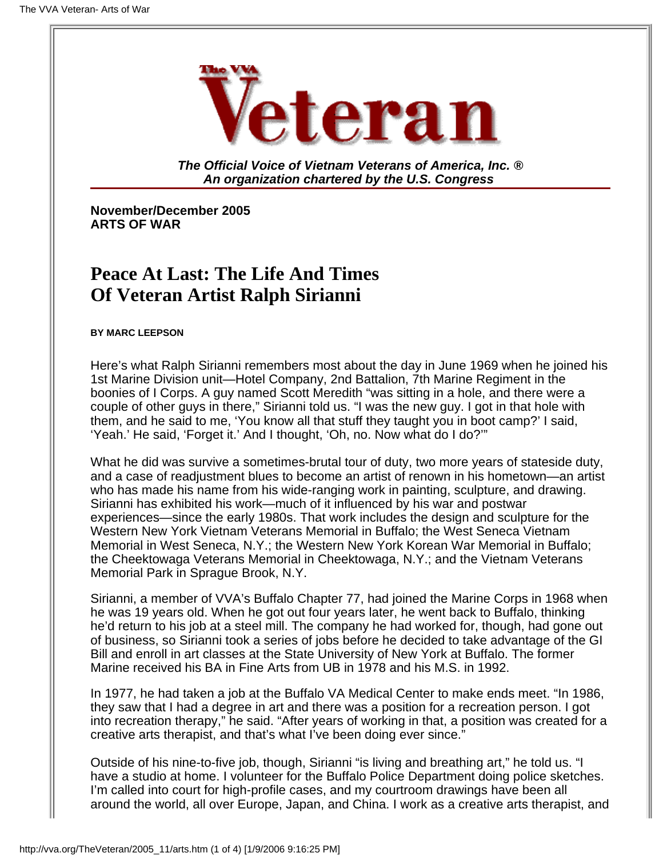

**The Official Voice of Vietnam Veterans of America, Inc. ® An organization chartered by the U.S. Congress**

**November/December 2005 ARTS OF WAR**

# **Peace At Last: The Life And Times Of Veteran Artist Ralph Sirianni**

**BY MARC LEEPSON**

Here's what Ralph Sirianni remembers most about the day in June 1969 when he joined his 1st Marine Division unit—Hotel Company, 2nd Battalion, 7th Marine Regiment in the boonies of I Corps. A guy named Scott Meredith "was sitting in a hole, and there were a couple of other guys in there," Sirianni told us. "I was the new guy. I got in that hole with them, and he said to me, 'You know all that stuff they taught you in boot camp?' I said, 'Yeah.' He said, 'Forget it.' And I thought, 'Oh, no. Now what do I do?'"

What he did was survive a sometimes-brutal tour of duty, two more years of stateside duty, and a case of readjustment blues to become an artist of renown in his hometown—an artist who has made his name from his wide-ranging work in painting, sculpture, and drawing. Sirianni has exhibited his work—much of it influenced by his war and postwar experiences—since the early 1980s. That work includes the design and sculpture for the Western New York Vietnam Veterans Memorial in Buffalo; the West Seneca Vietnam Memorial in West Seneca, N.Y.; the Western New York Korean War Memorial in Buffalo; the Cheektowaga Veterans Memorial in Cheektowaga, N.Y.; and the Vietnam Veterans Memorial Park in Sprague Brook, N.Y.

Sirianni, a member of VVA's Buffalo Chapter 77, had joined the Marine Corps in 1968 when he was 19 years old. When he got out four years later, he went back to Buffalo, thinking he'd return to his job at a steel mill. The company he had worked for, though, had gone out of business, so Sirianni took a series of jobs before he decided to take advantage of the GI Bill and enroll in art classes at the State University of New York at Buffalo. The former Marine received his BA in Fine Arts from UB in 1978 and his M.S. in 1992.

In 1977, he had taken a job at the Buffalo VA Medical Center to make ends meet. "In 1986, they saw that I had a degree in art and there was a position for a recreation person. I got into recreation therapy," he said. "After years of working in that, a position was created for a creative arts therapist, and that's what I've been doing ever since."

Outside of his nine-to-five job, though, Sirianni "is living and breathing art," he told us. "I have a studio at home. I volunteer for the Buffalo Police Department doing police sketches. I'm called into court for high-profile cases, and my courtroom drawings have been all around the world, all over Europe, Japan, and China. I work as a creative arts therapist, and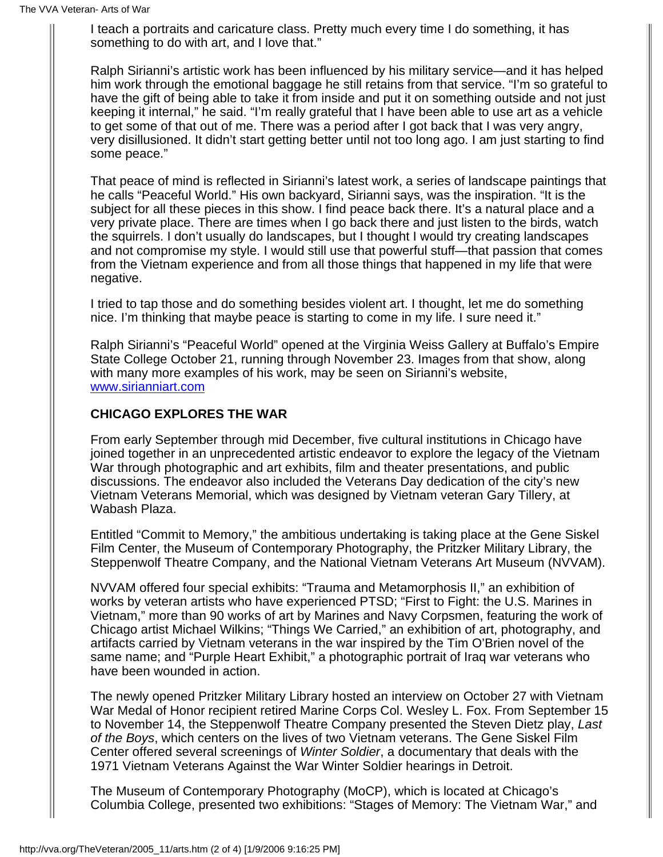I teach a portraits and caricature class. Pretty much every time I do something, it has something to do with art, and I love that."

Ralph Sirianni's artistic work has been influenced by his military service—and it has helped him work through the emotional baggage he still retains from that service. "I'm so grateful to have the gift of being able to take it from inside and put it on something outside and not just keeping it internal," he said. "I'm really grateful that I have been able to use art as a vehicle to get some of that out of me. There was a period after I got back that I was very angry, very disillusioned. It didn't start getting better until not too long ago. I am just starting to find some peace."

That peace of mind is reflected in Sirianni's latest work, a series of landscape paintings that he calls "Peaceful World." His own backyard, Sirianni says, was the inspiration. "It is the subject for all these pieces in this show. I find peace back there. It's a natural place and a very private place. There are times when I go back there and just listen to the birds, watch the squirrels. I don't usually do landscapes, but I thought I would try creating landscapes and not compromise my style. I would still use that powerful stuff—that passion that comes from the Vietnam experience and from all those things that happened in my life that were negative.

I tried to tap those and do something besides violent art. I thought, let me do something nice. I'm thinking that maybe peace is starting to come in my life. I sure need it."

Ralph Sirianni's "Peaceful World" opened at the Virginia Weiss Gallery at Buffalo's Empire State College October 21, running through November 23. Images from that show, along with many more examples of his work, may be seen on Sirianni's website, [www.sirianniart.com](http://www.sirianniart.com/)

## **CHICAGO EXPLORES THE WAR**

From early September through mid December, five cultural institutions in Chicago have joined together in an unprecedented artistic endeavor to explore the legacy of the Vietnam War through photographic and art exhibits, film and theater presentations, and public discussions. The endeavor also included the Veterans Day dedication of the city's new Vietnam Veterans Memorial, which was designed by Vietnam veteran Gary Tillery, at Wabash Plaza.

Entitled "Commit to Memory," the ambitious undertaking is taking place at the Gene Siskel Film Center, the Museum of Contemporary Photography, the Pritzker Military Library, the Steppenwolf Theatre Company, and the National Vietnam Veterans Art Museum (NVVAM).

NVVAM offered four special exhibits: "Trauma and Metamorphosis II," an exhibition of works by veteran artists who have experienced PTSD; "First to Fight: the U.S. Marines in Vietnam," more than 90 works of art by Marines and Navy Corpsmen, featuring the work of Chicago artist Michael Wilkins; "Things We Carried," an exhibition of art, photography, and artifacts carried by Vietnam veterans in the war inspired by the Tim O'Brien novel of the same name; and "Purple Heart Exhibit," a photographic portrait of Iraq war veterans who have been wounded in action.

The newly opened Pritzker Military Library hosted an interview on October 27 with Vietnam War Medal of Honor recipient retired Marine Corps Col. Wesley L. Fox. From September 15 to November 14, the Steppenwolf Theatre Company presented the Steven Dietz play, *Last of the Boys*, which centers on the lives of two Vietnam veterans. The Gene Siskel Film Center offered several screenings of *Winter Soldier*, a documentary that deals with the 1971 Vietnam Veterans Against the War Winter Soldier hearings in Detroit.

The Museum of Contemporary Photography (MoCP), which is located at Chicago's Columbia College, presented two exhibitions: "Stages of Memory: The Vietnam War," and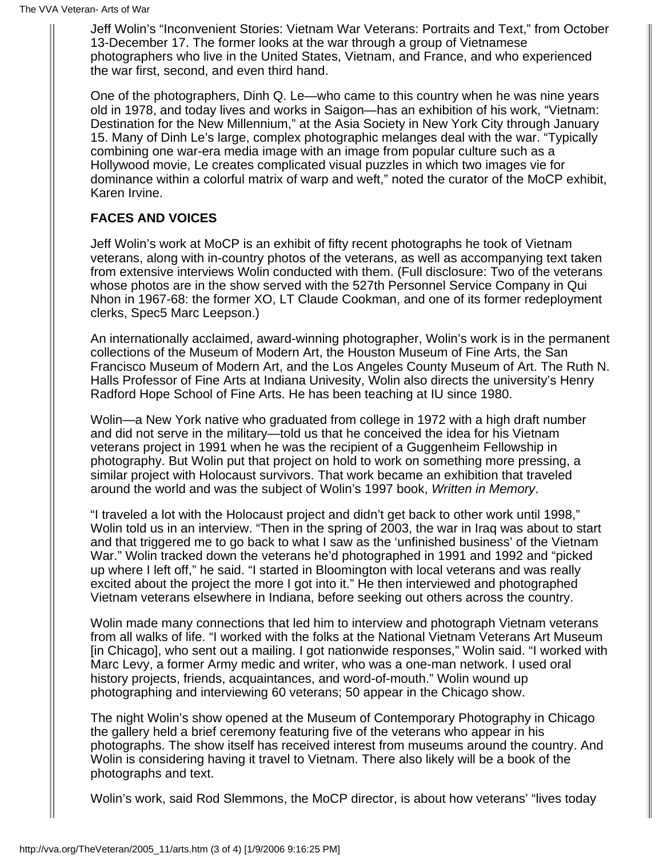Jeff Wolin's "Inconvenient Stories: Vietnam War Veterans: Portraits and Text," from October 13-December 17. The former looks at the war through a group of Vietnamese photographers who live in the United States, Vietnam, and France, and who experienced the war first, second, and even third hand.

One of the photographers, Dinh Q. Le—who came to this country when he was nine years old in 1978, and today lives and works in Saigon—has an exhibition of his work, "Vietnam: Destination for the New Millennium," at the Asia Society in New York City through January 15. Many of Dinh Le's large, complex photographic melanges deal with the war. "Typically combining one war-era media image with an image from popular culture such as a Hollywood movie, Le creates complicated visual puzzles in which two images vie for dominance within a colorful matrix of warp and weft," noted the curator of the MoCP exhibit, Karen Irvine.

## **FACES AND VOICES**

Jeff Wolin's work at MoCP is an exhibit of fifty recent photographs he took of Vietnam veterans, along with in-country photos of the veterans, as well as accompanying text taken from extensive interviews Wolin conducted with them. (Full disclosure: Two of the veterans whose photos are in the show served with the 527th Personnel Service Company in Qui Nhon in 1967-68: the former XO, LT Claude Cookman, and one of its former redeployment clerks, Spec5 Marc Leepson.)

An internationally acclaimed, award-winning photographer, Wolin's work is in the permanent collections of the Museum of Modern Art, the Houston Museum of Fine Arts, the San Francisco Museum of Modern Art, and the Los Angeles County Museum of Art. The Ruth N. Halls Professor of Fine Arts at Indiana Univesity, Wolin also directs the university's Henry Radford Hope School of Fine Arts. He has been teaching at IU since 1980.

Wolin—a New York native who graduated from college in 1972 with a high draft number and did not serve in the military—told us that he conceived the idea for his Vietnam veterans project in 1991 when he was the recipient of a Guggenheim Fellowship in photography. But Wolin put that project on hold to work on something more pressing, a similar project with Holocaust survivors. That work became an exhibition that traveled around the world and was the subject of Wolin's 1997 book, *Written in Memory*.

"I traveled a lot with the Holocaust project and didn't get back to other work until 1998," Wolin told us in an interview. "Then in the spring of 2003, the war in Iraq was about to start and that triggered me to go back to what I saw as the 'unfinished business' of the Vietnam War." Wolin tracked down the veterans he'd photographed in 1991 and 1992 and "picked up where I left off," he said. "I started in Bloomington with local veterans and was really excited about the project the more I got into it." He then interviewed and photographed Vietnam veterans elsewhere in Indiana, before seeking out others across the country.

Wolin made many connections that led him to interview and photograph Vietnam veterans from all walks of life. "I worked with the folks at the National Vietnam Veterans Art Museum [in Chicago], who sent out a mailing. I got nationwide responses," Wolin said. "I worked with Marc Levy, a former Army medic and writer, who was a one-man network. I used oral history projects, friends, acquaintances, and word-of-mouth." Wolin wound up photographing and interviewing 60 veterans; 50 appear in the Chicago show.

The night Wolin's show opened at the Museum of Contemporary Photography in Chicago the gallery held a brief ceremony featuring five of the veterans who appear in his photographs. The show itself has received interest from museums around the country. And Wolin is considering having it travel to Vietnam. There also likely will be a book of the photographs and text.

Wolin's work, said Rod Slemmons, the MoCP director, is about how veterans' "lives today